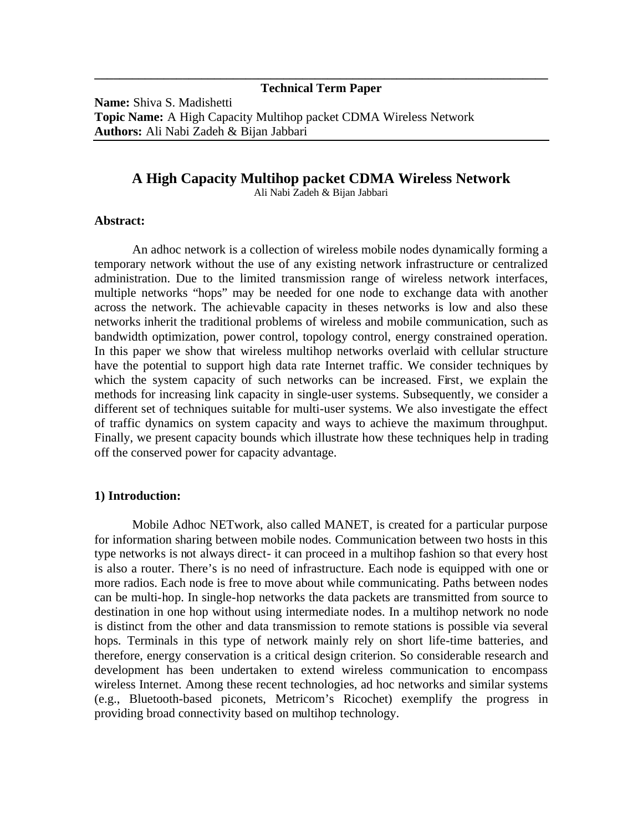## **\_\_\_\_\_\_\_\_\_\_\_\_\_\_\_\_\_\_\_\_\_\_\_\_\_\_\_\_\_\_\_\_\_\_\_\_\_\_\_\_\_\_\_\_\_\_\_\_\_\_\_\_\_\_\_\_\_\_\_\_\_\_\_\_\_\_\_\_\_\_\_\_ Technical Term Paper**

**Name:** Shiva S. Madishetti **Topic Name:** A High Capacity Multihop packet CDMA Wireless Network **Authors:** Ali Nabi Zadeh & Bijan Jabbari

# **A High Capacity Multihop packet CDMA Wireless Network**

Ali Nabi Zadeh & Bijan Jabbari

### **Abstract:**

An adhoc network is a collection of wireless mobile nodes dynamically forming a temporary network without the use of any existing network infrastructure or centralized administration. Due to the limited transmission range of wireless network interfaces, multiple networks "hops" may be needed for one node to exchange data with another across the network. The achievable capacity in theses networks is low and also these networks inherit the traditional problems of wireless and mobile communication, such as bandwidth optimization, power control, topology control, energy constrained operation. In this paper we show that wireless multihop networks overlaid with cellular structure have the potential to support high data rate Internet traffic. We consider techniques by which the system capacity of such networks can be increased. First, we explain the methods for increasing link capacity in single-user systems. Subsequently, we consider a different set of techniques suitable for multi-user systems. We also investigate the effect of traffic dynamics on system capacity and ways to achieve the maximum throughput. Finally, we present capacity bounds which illustrate how these techniques help in trading off the conserved power for capacity advantage.

## **1) Introduction:**

Mobile Adhoc NETwork, also called MANET, is created for a particular purpose for information sharing between mobile nodes. Communication between two hosts in this type networks is not always direct- it can proceed in a multihop fashion so that every host is also a router. There's is no need of infrastructure. Each node is equipped with one or more radios. Each node is free to move about while communicating. Paths between nodes can be multi-hop. In single-hop networks the data packets are transmitted from source to destination in one hop without using intermediate nodes. In a multihop network no node is distinct from the other and data transmission to remote stations is possible via several hops. Terminals in this type of network mainly rely on short life-time batteries, and therefore, energy conservation is a critical design criterion. So considerable research and development has been undertaken to extend wireless communication to encompass wireless Internet. Among these recent technologies, ad hoc networks and similar systems (e.g., Bluetooth-based piconets, Metricom's Ricochet) exemplify the progress in providing broad connectivity based on multihop technology.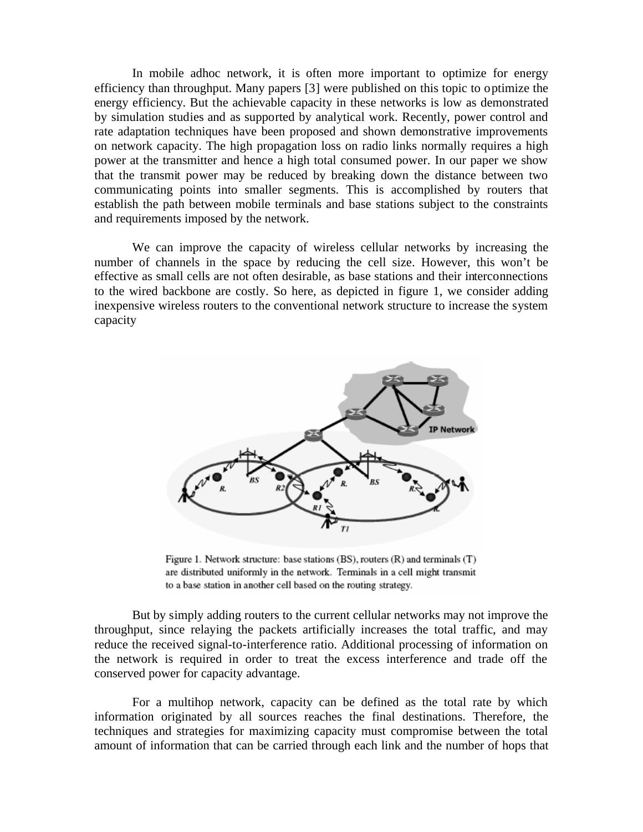In mobile adhoc network, it is often more important to optimize for energy efficiency than throughput. Many papers [3] were published on this topic to optimize the energy efficiency. But the achievable capacity in these networks is low as demonstrated by simulation studies and as supported by analytical work. Recently, power control and rate adaptation techniques have been proposed and shown demonstrative improvements on network capacity. The high propagation loss on radio links normally requires a high power at the transmitter and hence a high total consumed power. In our paper we show that the transmit power may be reduced by breaking down the distance between two communicating points into smaller segments. This is accomplished by routers that establish the path between mobile terminals and base stations subject to the constraints and requirements imposed by the network.

We can improve the capacity of wireless cellular networks by increasing the number of channels in the space by reducing the cell size. However, this won't be effective as small cells are not often desirable, as base stations and their interconnections to the wired backbone are costly. So here, as depicted in figure 1, we consider adding inexpensive wireless routers to the conventional network structure to increase the system capacity



Figure 1. Network structure: base stations (BS), routers (R) and terminals (T) are distributed uniformly in the network. Terminals in a cell might transmit to a base station in another cell based on the routing strategy.

But by simply adding routers to the current cellular networks may not improve the throughput, since relaying the packets artificially increases the total traffic, and may reduce the received signal-to-interference ratio. Additional processing of information on the network is required in order to treat the excess interference and trade off the conserved power for capacity advantage.

For a multihop network, capacity can be defined as the total rate by which information originated by all sources reaches the final destinations. Therefore, the techniques and strategies for maximizing capacity must compromise between the total amount of information that can be carried through each link and the number of hops that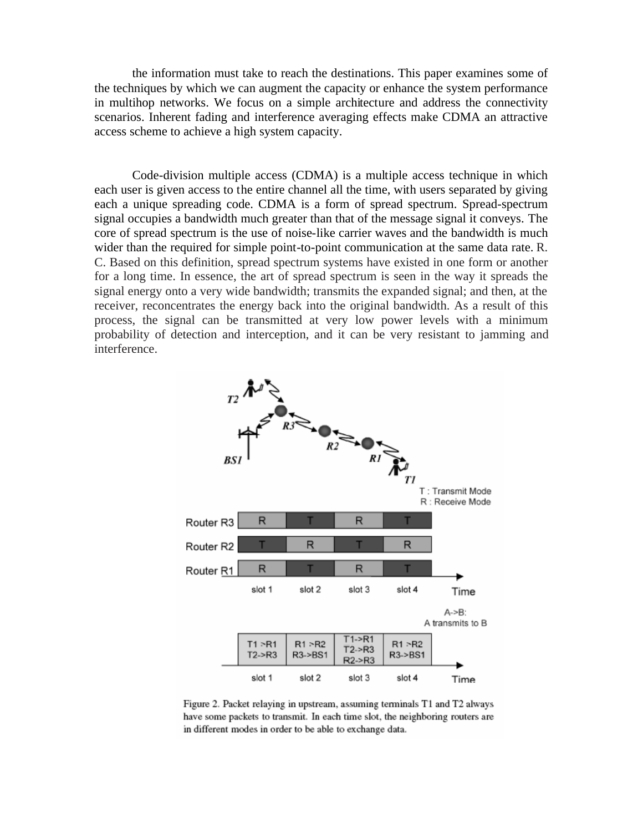the information must take to reach the destinations. This paper examines some of the techniques by which we can augment the capacity or enhance the system performance in multihop networks. We focus on a simple architecture and address the connectivity scenarios. Inherent fading and interference averaging effects make CDMA an attractive access scheme to achieve a high system capacity.

Code-division multiple access (CDMA) is a multiple access technique in which each user is given access to the entire channel all the time, with users separated by giving each a unique spreading code. CDMA is a form of spread spectrum. Spread-spectrum signal occupies a bandwidth much greater than that of the message signal it conveys. The core of spread spectrum is the use of noise-like carrier waves and the bandwidth is much wider than the required for simple point-to-point communication at the same data rate. R. C. Based on this definition, spread spectrum systems have existed in one form or another for a long time. In essence, the art of spread spectrum is seen in the way it spreads the signal energy onto a very wide bandwidth; transmits the expanded signal; and then, at the receiver, reconcentrates the energy back into the original bandwidth. As a result of this process, the signal can be transmitted at very low power levels with a minimum probability of detection and interception, and it can be very resistant to jamming and interference.



Figure 2. Packet relaying in upstream, assuming terminals T1 and T2 always have some packets to transmit. In each time slot, the neighboring routers are in different modes in order to be able to exchange data.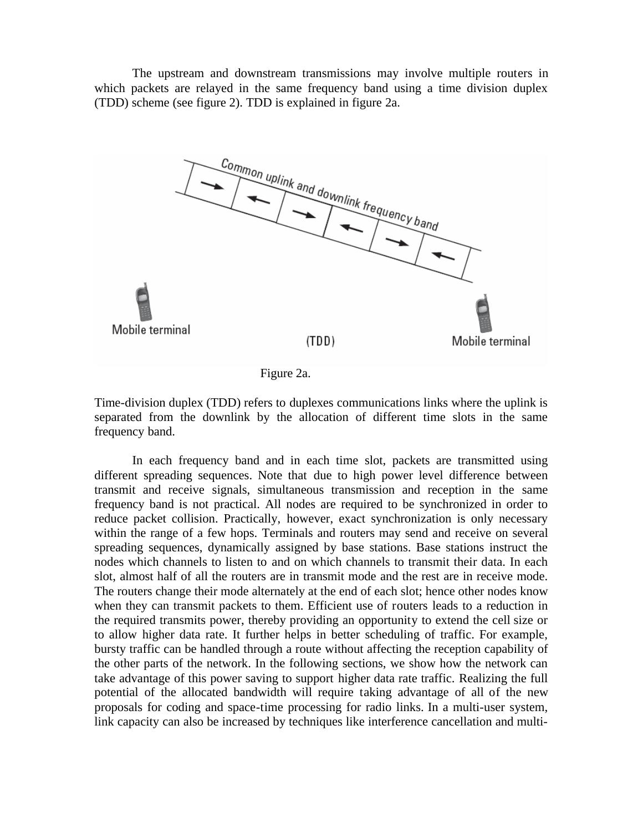The upstream and downstream transmissions may involve multiple routers in which packets are relayed in the same frequency band using a time division duplex (TDD) scheme (see figure 2). TDD is explained in figure 2a.



Figure 2a.

Time-division duplex (TDD) refers to duplexes communications links where the uplink is separated from the downlink by the allocation of different time slots in the same frequency band.

In each frequency band and in each time slot, packets are transmitted using different spreading sequences. Note that due to high power level difference between transmit and receive signals, simultaneous transmission and reception in the same frequency band is not practical. All nodes are required to be synchronized in order to reduce packet collision. Practically, however, exact synchronization is only necessary within the range of a few hops. Terminals and routers may send and receive on several spreading sequences, dynamically assigned by base stations. Base stations instruct the nodes which channels to listen to and on which channels to transmit their data. In each slot, almost half of all the routers are in transmit mode and the rest are in receive mode. The routers change their mode alternately at the end of each slot; hence other nodes know when they can transmit packets to them. Efficient use of routers leads to a reduction in the required transmits power, thereby providing an opportunity to extend the cell size or to allow higher data rate. It further helps in better scheduling of traffic. For example, bursty traffic can be handled through a route without affecting the reception capability of the other parts of the network. In the following sections, we show how the network can take advantage of this power saving to support higher data rate traffic. Realizing the full potential of the allocated bandwidth will require taking advantage of all of the new proposals for coding and space-time processing for radio links. In a multi-user system, link capacity can also be increased by techniques like interference cancellation and multi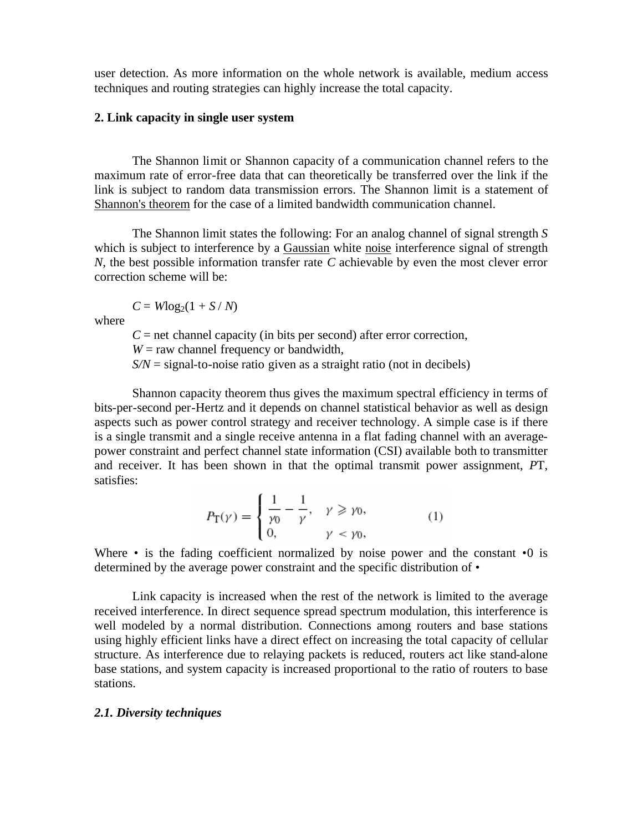user detection. As more information on the whole network is available, medium access techniques and routing strategies can highly increase the total capacity.

## **2. Link capacity in single user system**

The Shannon limit or Shannon capacity of a communication channel refers to the maximum rate of error-free data that can theoretically be transferred over the link if the link is subject to random data transmission errors. The Shannon limit is a statement of Shannon's theorem for the case of a limited bandwidth communication channel.

The Shannon limit states the following: For an analog channel of signal strength *S* which is subject to interference by a Gaussian white noise interference signal of strength *N*, the best possible information transfer rate *C* achievable by even the most clever error correction scheme will be:

 $C = W \log_2(1 + S/N)$ 

where

 $C =$  net channel capacity (in bits per second) after error correction,  $W =$  raw channel frequency or bandwidth,  $S/N =$  signal-to-noise ratio given as a straight ratio (not in decibels)

Shannon capacity theorem thus gives the maximum spectral efficiency in terms of bits-per-second per-Hertz and it depends on channel statistical behavior as well as design aspects such as power control strategy and receiver technology. A simple case is if there is a single transmit and a single receive antenna in a flat fading channel with an averagepower constraint and perfect channel state information (CSI) available both to transmitter and receiver. It has been shown in that the optimal transmit power assignment, *P*T, satisfies:

$$
P_{\Gamma}(\gamma) = \begin{cases} \frac{1}{\gamma_0} - \frac{1}{\gamma}, & \gamma \geq \gamma_0, \\ 0, & \gamma < \gamma_0, \end{cases}
$$
 (1)

Where • is the fading coefficient normalized by noise power and the constant **•**0 is determined by the average power constraint and the specific distribution of *•* 

Link capacity is increased when the rest of the network is limited to the average received interference. In direct sequence spread spectrum modulation, this interference is well modeled by a normal distribution. Connections among routers and base stations using highly efficient links have a direct effect on increasing the total capacity of cellular structure. As interference due to relaying packets is reduced, routers act like stand-alone base stations, and system capacity is increased proportional to the ratio of routers to base stations.

#### *2.1. Diversity techniques*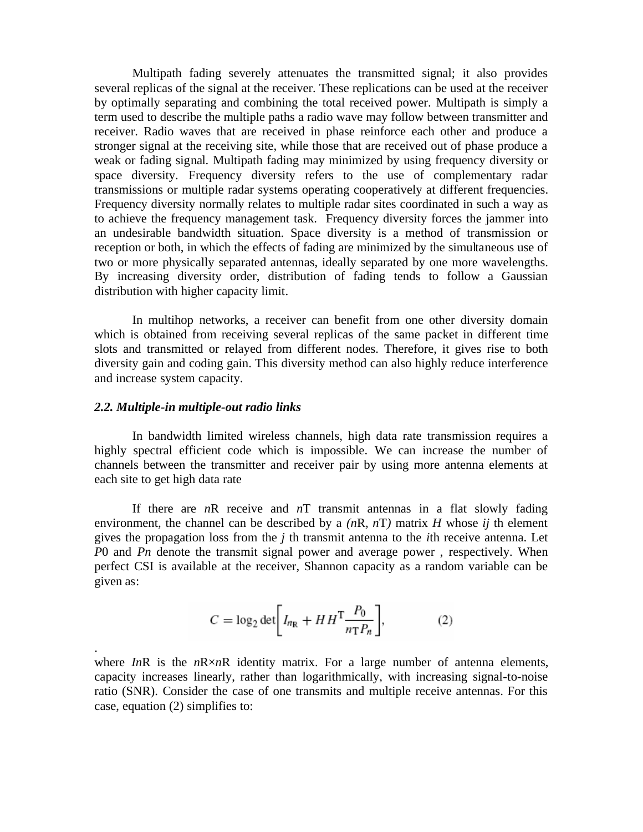Multipath fading severely attenuates the transmitted signal; it also provides several replicas of the signal at the receiver. These replications can be used at the receiver by optimally separating and combining the total received power. Multipath is simply a term used to describe the multiple paths a radio wave may follow between transmitter and receiver. Radio waves that are received in phase reinforce each other and produce a stronger signal at the receiving site, while those that are received out of phase produce a weak or fading signal. Multipath fading may minimized by using frequency diversity or space diversity. Frequency diversity refers to the use of complementary radar transmissions or multiple radar systems operating cooperatively at different frequencies. Frequency diversity normally relates to multiple radar sites coordinated in such a way as to achieve the frequency management task. Frequency diversity forces the jammer into an undesirable bandwidth situation. Space diversity is a method of transmission or reception or both, in which the effects of fading are minimized by the simultaneous use of two or more physically separated antennas, ideally separated by one more wavelengths. By increasing diversity order, distribution of fading tends to follow a Gaussian distribution with higher capacity limit.

In multihop networks, a receiver can benefit from one other diversity domain which is obtained from receiving several replicas of the same packet in different time slots and transmitted or relayed from different nodes. Therefore, it gives rise to both diversity gain and coding gain. This diversity method can also highly reduce interference and increase system capacity.

## *2.2. Multiple-in multiple-out radio links*

.

In bandwidth limited wireless channels, high data rate transmission requires a highly spectral efficient code which is impossible. We can increase the number of channels between the transmitter and receiver pair by using more antenna elements at each site to get high data rate

If there are *n*R receive and *n*T transmit antennas in a flat slowly fading environment, the channel can be described by a *(n*R*, n*T*)* matrix *H* whose *ij* th element gives the propagation loss from the *j* th transmit antenna to the *i*th receive antenna. Let *P*0 and *Pn* denote the transmit signal power and average power , respectively. When perfect CSI is available at the receiver, Shannon capacity as a random variable can be given as:

$$
C = \log_2 \det \left[ I_{n_{\mathbb{R}}} + H H^{\mathsf{T}} \frac{P_0}{n_{\mathbb{T}} P_n} \right],\tag{2}
$$

where  $InR$  is the  $nR \times nR$  identity matrix. For a large number of antenna elements, capacity increases linearly, rather than logarithmically, with increasing signal-to-noise ratio (SNR). Consider the case of one transmits and multiple receive antennas. For this case, equation (2) simplifies to: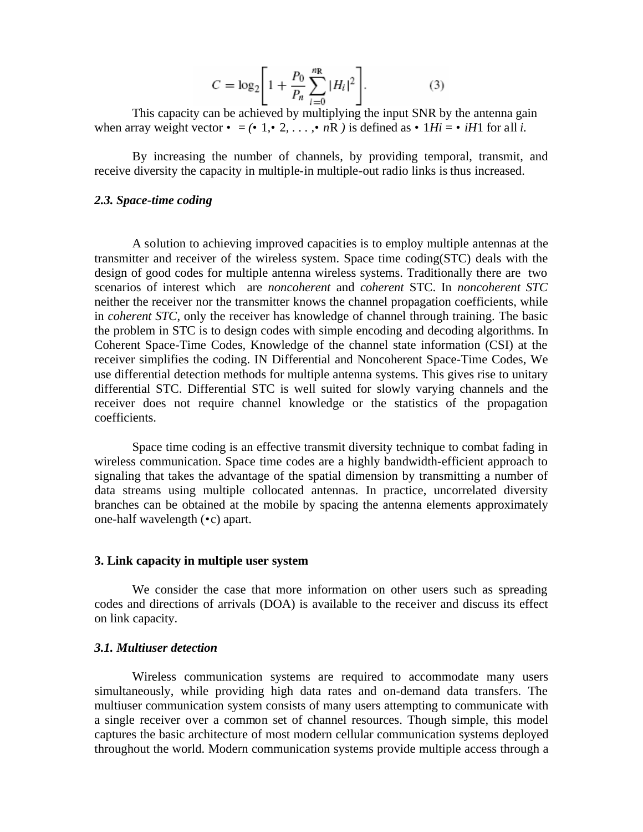$$
C = \log_2 \left[ 1 + \frac{P_0}{P_n} \sum_{i=0}^{nR} |H_i|^2 \right].
$$
 (3)

This capacity can be achieved by multiplying the input SNR by the antenna gain when array weight vector  $\cdot$  =  $(\cdot \ 1, \cdot \ 2, \ldots, \cdot \ nR)$  is defined as  $\cdot \ 1Hi = \cdot \ iH1$  for all *i*.

By increasing the number of channels, by providing temporal, transmit, and receive diversity the capacity in multiple-in multiple-out radio links is thus increased.

#### *2.3. Space-time coding*

A solution to achieving improved capacities is to employ multiple antennas at the transmitter and receiver of the wireless system. Space time coding(STC) deals with the design of good codes for multiple antenna wireless systems. Traditionally there are two scenarios of interest which are *noncoherent* and *coherent* STC. In *noncoherent STC* neither the receiver nor the transmitter knows the channel propagation coefficients, while in *coherent STC*, only the receiver has knowledge of channel through training. The basic the problem in STC is to design codes with simple encoding and decoding algorithms. In Coherent Space-Time Codes, Knowledge of the channel state information (CSI) at the receiver simplifies the coding. IN Differential and Noncoherent Space-Time Codes, We use differential detection methods for multiple antenna systems. This gives rise to unitary differential STC. Differential STC is well suited for slowly varying channels and the receiver does not require channel knowledge or the statistics of the propagation coefficients.

Space time coding is an effective transmit diversity technique to combat fading in wireless communication. Space time codes are a highly bandwidth-efficient approach to signaling that takes the advantage of the spatial dimension by transmitting a number of data streams using multiple collocated antennas. In practice, uncorrelated diversity branches can be obtained at the mobile by spacing the antenna elements approximately one-half wavelength (*•*c) apart.

#### **3. Link capacity in multiple user system**

We consider the case that more information on other users such as spreading codes and directions of arrivals (DOA) is available to the receiver and discuss its effect on link capacity.

## *3.1. Multiuser detection*

Wireless communication systems are required to accommodate many users simultaneously, while providing high data rates and on-demand data transfers. The multiuser communication system consists of many users attempting to communicate with a single receiver over a common set of channel resources. Though simple, this model captures the basic architecture of most modern cellular communication systems deployed throughout the world. Modern communication systems provide multiple access through a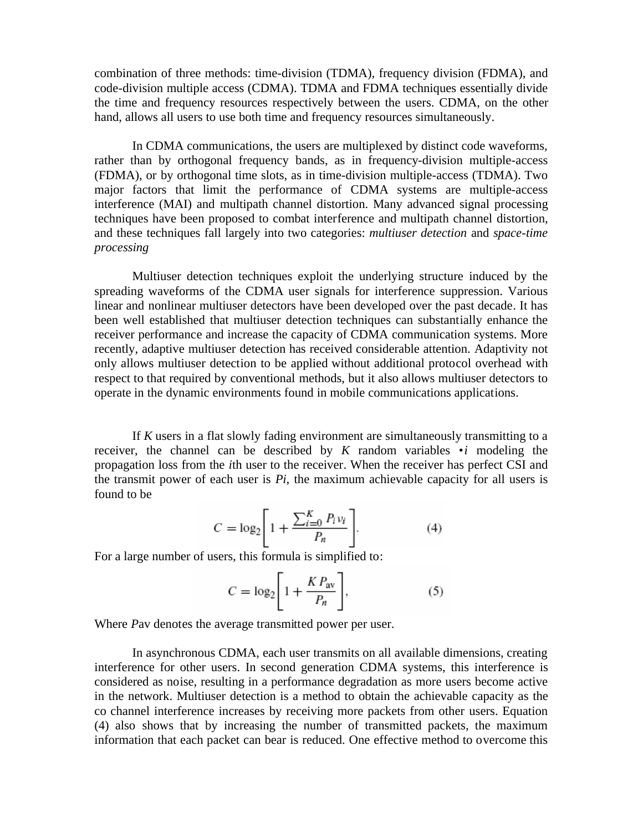combination of three methods: time-division (TDMA), frequency division (FDMA), and code-division multiple access (CDMA). TDMA and FDMA techniques essentially divide the time and frequency resources respectively between the users. CDMA, on the other hand, allows all users to use both time and frequency resources simultaneously.

In CDMA communications, the users are multiplexed by distinct code waveforms, rather than by orthogonal frequency bands, as in frequency-division multiple-access (FDMA), or by orthogonal time slots, as in time-division multiple-access (TDMA). Two major factors that limit the performance of CDMA systems are multiple-access interference (MAI) and multipath channel distortion. Many advanced signal processing techniques have been proposed to combat interference and multipath channel distortion, and these techniques fall largely into two categories: *multiuser detection* and *space-time processing* 

Multiuser detection techniques exploit the underlying structure induced by the spreading waveforms of the CDMA user signals for interference suppression. Various linear and nonlinear multiuser detectors have been developed over the past decade. It has been well established that multiuser detection techniques can substantially enhance the receiver performance and increase the capacity of CDMA communication systems. More recently, adaptive multiuser detection has received considerable attention. Adaptivity not only allows multiuser detection to be applied without additional protocol overhead with respect to that required by conventional methods, but it also allows multiuser detectors to operate in the dynamic environments found in mobile communications applications.

If *K* users in a flat slowly fading environment are simultaneously transmitting to a receiver, the channel can be described by *K* random variables *•i* modeling the propagation loss from the *i*th user to the receiver. When the receiver has perfect CSI and the transmit power of each user is *Pi,* the maximum achievable capacity for all users is found to be

$$
C = \log_2 \left[ 1 + \frac{\sum_{i=0}^{K} P_i v_i}{P_n} \right].
$$
 (4)

For a large number of users, this formula is simplified to:

$$
C = \log_2 \left[ 1 + \frac{KP_{\text{av}}}{P_n} \right],\tag{5}
$$

Where *P*av denotes the average transmitted power per user.

In asynchronous CDMA, each user transmits on all available dimensions, creating interference for other users. In second generation CDMA systems, this interference is considered as noise, resulting in a performance degradation as more users become active in the network. Multiuser detection is a method to obtain the achievable capacity as the co channel interference increases by receiving more packets from other users. Equation (4) also shows that by increasing the number of transmitted packets, the maximum information that each packet can bear is reduced. One effective method to overcome this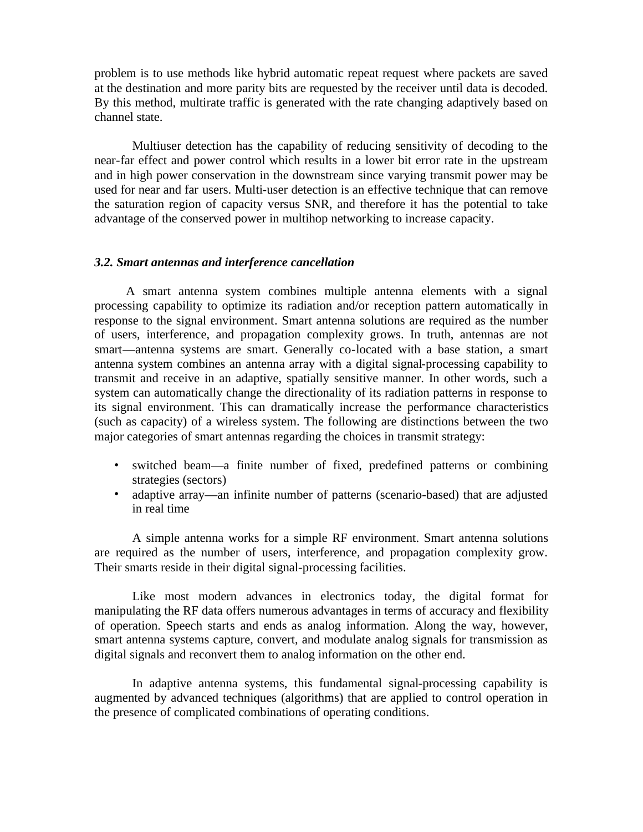problem is to use methods like hybrid automatic repeat request where packets are saved at the destination and more parity bits are requested by the receiver until data is decoded. By this method, multirate traffic is generated with the rate changing adaptively based on channel state.

Multiuser detection has the capability of reducing sensitivity of decoding to the near-far effect and power control which results in a lower bit error rate in the upstream and in high power conservation in the downstream since varying transmit power may be used for near and far users. Multi-user detection is an effective technique that can remove the saturation region of capacity versus SNR, and therefore it has the potential to take advantage of the conserved power in multihop networking to increase capacity.

## *3.2. Smart antennas and interference cancellation*

 A smart antenna system combines multiple antenna elements with a signal processing capability to optimize its radiation and/or reception pattern automatically in response to the signal environment. Smart antenna solutions are required as the number of users, interference, and propagation complexity grows. In truth, antennas are not smart—antenna systems are smart. Generally co-located with a base station, a smart antenna system combines an antenna array with a digital signal-processing capability to transmit and receive in an adaptive, spatially sensitive manner. In other words, such a system can automatically change the directionality of its radiation patterns in response to its signal environment. This can dramatically increase the performance characteristics (such as capacity) of a wireless system. The following are distinctions between the two major categories of smart antennas regarding the choices in transmit strategy:

- switched beam—a finite number of fixed, predefined patterns or combining strategies (sectors)
- adaptive array—an infinite number of patterns (scenario-based) that are adjusted in real time

A simple antenna works for a simple RF environment. Smart antenna solutions are required as the number of users, interference, and propagation complexity grow. Their smarts reside in their digital signal-processing facilities.

Like most modern advances in electronics today, the digital format for manipulating the RF data offers numerous advantages in terms of accuracy and flexibility of operation. Speech starts and ends as analog information. Along the way, however, smart antenna systems capture, convert, and modulate analog signals for transmission as digital signals and reconvert them to analog information on the other end.

In adaptive antenna systems, this fundamental signal-processing capability is augmented by advanced techniques (algorithms) that are applied to control operation in the presence of complicated combinations of operating conditions.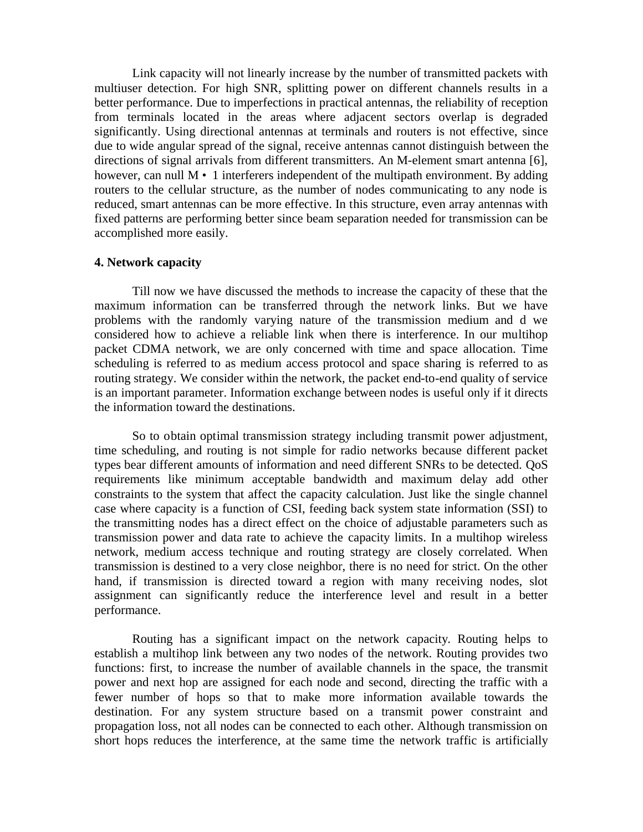Link capacity will not linearly increase by the number of transmitted packets with multiuser detection. For high SNR, splitting power on different channels results in a better performance. Due to imperfections in practical antennas, the reliability of reception from terminals located in the areas where adjacent sectors overlap is degraded significantly. Using directional antennas at terminals and routers is not effective, since due to wide angular spread of the signal, receive antennas cannot distinguish between the directions of signal arrivals from different transmitters. An M-element smart antenna [6], however, can null  $M \cdot 1$  interferers independent of the multipath environment. By adding routers to the cellular structure, as the number of nodes communicating to any node is reduced, smart antennas can be more effective. In this structure, even array antennas with fixed patterns are performing better since beam separation needed for transmission can be accomplished more easily.

## **4. Network capacity**

Till now we have discussed the methods to increase the capacity of these that the maximum information can be transferred through the network links. But we have problems with the randomly varying nature of the transmission medium and d we considered how to achieve a reliable link when there is interference. In our multihop packet CDMA network, we are only concerned with time and space allocation. Time scheduling is referred to as medium access protocol and space sharing is referred to as routing strategy. We consider within the network, the packet end-to-end quality of service is an important parameter. Information exchange between nodes is useful only if it directs the information toward the destinations.

So to obtain optimal transmission strategy including transmit power adjustment, time scheduling, and routing is not simple for radio networks because different packet types bear different amounts of information and need different SNRs to be detected. QoS requirements like minimum acceptable bandwidth and maximum delay add other constraints to the system that affect the capacity calculation. Just like the single channel case where capacity is a function of CSI, feeding back system state information (SSI) to the transmitting nodes has a direct effect on the choice of adjustable parameters such as transmission power and data rate to achieve the capacity limits. In a multihop wireless network, medium access technique and routing strategy are closely correlated. When transmission is destined to a very close neighbor, there is no need for strict. On the other hand, if transmission is directed toward a region with many receiving nodes, slot assignment can significantly reduce the interference level and result in a better performance.

Routing has a significant impact on the network capacity. Routing helps to establish a multihop link between any two nodes of the network. Routing provides two functions: first, to increase the number of available channels in the space, the transmit power and next hop are assigned for each node and second, directing the traffic with a fewer number of hops so that to make more information available towards the destination. For any system structure based on a transmit power constraint and propagation loss, not all nodes can be connected to each other. Although transmission on short hops reduces the interference, at the same time the network traffic is artificially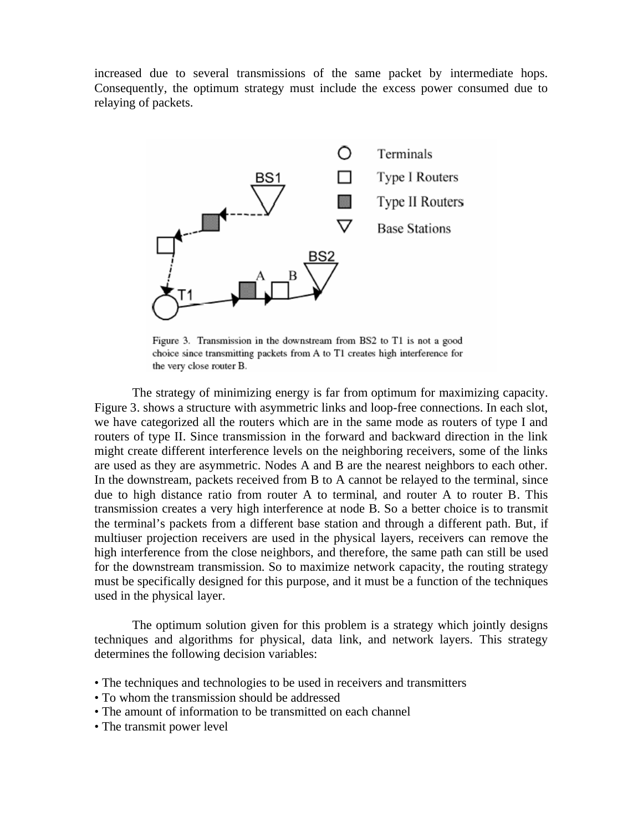increased due to several transmissions of the same packet by intermediate hops. Consequently, the optimum strategy must include the excess power consumed due to relaying of packets.



Figure 3. Transmission in the downstream from BS2 to T1 is not a good choice since transmitting packets from A to T1 creates high interference for the very close router B.

The strategy of minimizing energy is far from optimum for maximizing capacity. Figure 3. shows a structure with asymmetric links and loop-free connections. In each slot, we have categorized all the routers which are in the same mode as routers of type I and routers of type II. Since transmission in the forward and backward direction in the link might create different interference levels on the neighboring receivers, some of the links are used as they are asymmetric. Nodes A and B are the nearest neighbors to each other. In the downstream, packets received from B to A cannot be relayed to the terminal, since due to high distance ratio from router A to terminal, and router A to router B. This transmission creates a very high interference at node B. So a better choice is to transmit the terminal's packets from a different base station and through a different path. But, if multiuser projection receivers are used in the physical layers, receivers can remove the high interference from the close neighbors, and therefore, the same path can still be used for the downstream transmission. So to maximize network capacity, the routing strategy must be specifically designed for this purpose, and it must be a function of the techniques used in the physical layer.

The optimum solution given for this problem is a strategy which jointly designs techniques and algorithms for physical, data link, and network layers. This strategy determines the following decision variables:

- The techniques and technologies to be used in receivers and transmitters
- To whom the transmission should be addressed
- The amount of information to be transmitted on each channel
- The transmit power level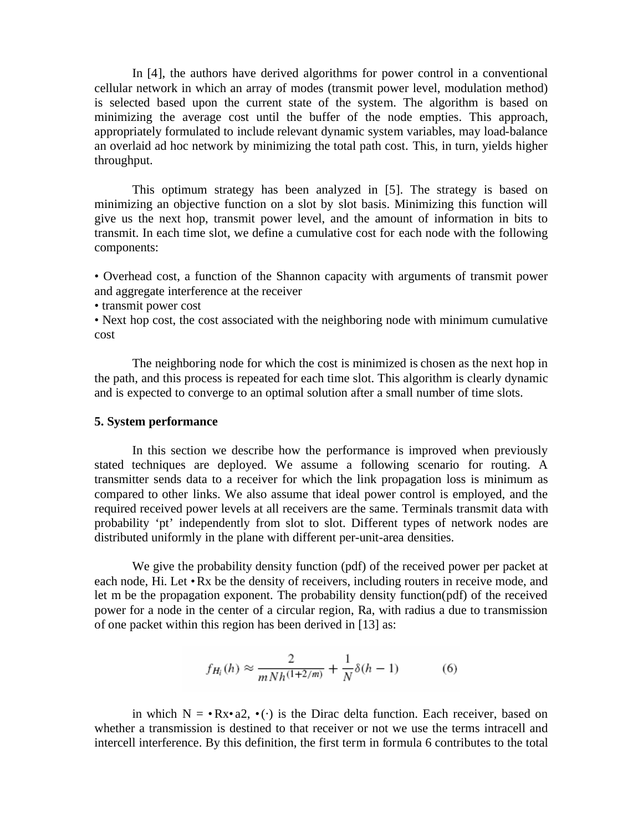In [4], the authors have derived algorithms for power control in a conventional cellular network in which an array of modes (transmit power level, modulation method) is selected based upon the current state of the system. The algorithm is based on minimizing the average cost until the buffer of the node empties. This approach, appropriately formulated to include relevant dynamic system variables, may load-balance an overlaid ad hoc network by minimizing the total path cost. This, in turn, yields higher throughput.

This optimum strategy has been analyzed in [5]. The strategy is based on minimizing an objective function on a slot by slot basis. Minimizing this function will give us the next hop, transmit power level, and the amount of information in bits to transmit. In each time slot, we define a cumulative cost for each node with the following components:

• Overhead cost, a function of the Shannon capacity with arguments of transmit power and aggregate interference at the receiver

• transmit power cost

• Next hop cost, the cost associated with the neighboring node with minimum cumulative cost

The neighboring node for which the cost is minimized is chosen as the next hop in the path, and this process is repeated for each time slot. This algorithm is clearly dynamic and is expected to converge to an optimal solution after a small number of time slots.

### **5. System performance**

In this section we describe how the performance is improved when previously stated techniques are deployed. We assume a following scenario for routing. A transmitter sends data to a receiver for which the link propagation loss is minimum as compared to other links. We also assume that ideal power control is employed, and the required received power levels at all receivers are the same. Terminals transmit data with probability 'pt' independently from slot to slot. Different types of network nodes are distributed uniformly in the plane with different per-unit-area densities.

We give the probability density function (pdf) of the received power per packet at each node, Hi. Let •Rx be the density of receivers, including routers in receive mode, and let m be the propagation exponent. The probability density function(pdf) of the received power for a node in the center of a circular region, Ra, with radius a due to transmission of one packet within this region has been derived in [13] as:

$$
f_{H_i}(h) \approx \frac{2}{m N h^{(1+2/m)}} + \frac{1}{N} \delta(h-1)
$$
 (6)

in which  $N = \cdot Rx \cdot a2$ ,  $\cdot ( \cdot )$  is the Dirac delta function. Each receiver, based on whether a transmission is destined to that receiver or not we use the terms intracell and intercell interference. By this definition, the first term in formula 6 contributes to the total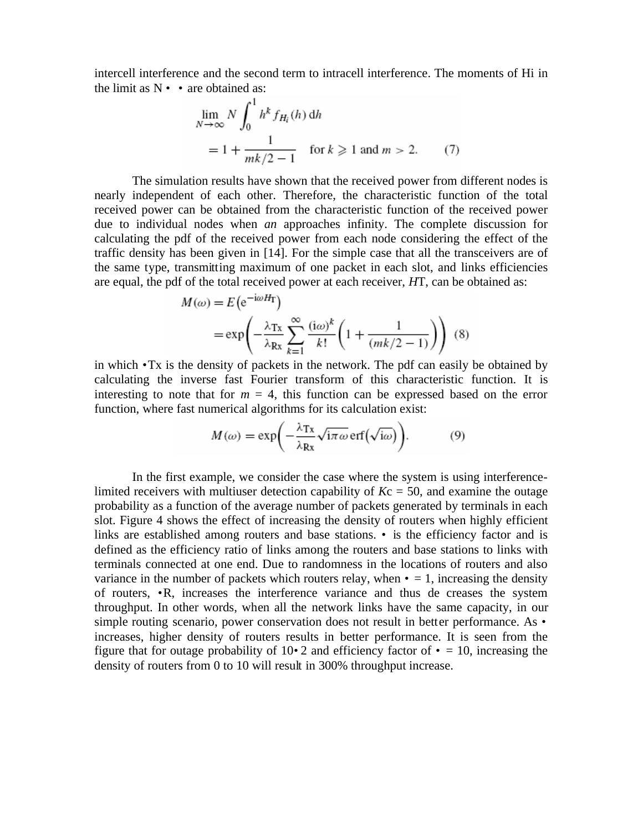intercell interference and the second term to intracell interference. The moments of Hi in the limit as  $N \cdot \cdot$  are obtained as:

$$
\lim_{N \to \infty} N \int_0^1 h^k f_{H_i}(h) dh
$$
  
=  $1 + \frac{1}{mk/2 - 1}$  for  $k \ge 1$  and  $m > 2$ . (7)

The simulation results have shown that the received power from different nodes is nearly independent of each other. Therefore, the characteristic function of the total received power can be obtained from the characteristic function of the received power due to individual nodes when *an* approaches infinity. The complete discussion for calculating the pdf of the received power from each node considering the effect of the traffic density has been given in [14]. For the simple case that all the transceivers are of the same type, transmitting maximum of one packet in each slot, and links efficiencies are equal, the pdf of the total received power at each receiver, *H*T, can be obtained as:

$$
M(\omega) = E \left( e^{-i\omega H_T} \right)
$$
  
=  $\exp \left( -\frac{\lambda_{Tx}}{\lambda_{Rx}} \sum_{k=1}^{\infty} \frac{(i\omega)^k}{k!} \left( 1 + \frac{1}{(mk/2 - 1)} \right) \right)$  (8)

in which *•*Tx is the density of packets in the network. The pdf can easily be obtained by calculating the inverse fast Fourier transform of this characteristic function. It is interesting to note that for  $m = 4$ , this function can be expressed based on the error function, where fast numerical algorithms for its calculation exist:

$$
M(\omega) = \exp\biggl(-\frac{\lambda_{\text{Tx}}}{\lambda_{\text{Rx}}}\sqrt{\text{i}\pi\omega}\,\text{erf}\left(\sqrt{\text{i}\omega}\right)\biggr). \tag{9}
$$

In the first example, we consider the case where the system is using interferencelimited receivers with multiuser detection capability of  $Kc = 50$ , and examine the outage probability as a function of the average number of packets generated by terminals in each slot. Figure 4 shows the effect of increasing the density of routers when highly efficient links are established among routers and base stations. *•* is the efficiency factor and is defined as the efficiency ratio of links among the routers and base stations to links with terminals connected at one end. Due to randomness in the locations of routers and also variance in the number of packets which routers relay, when  $\cdot = 1$ , increasing the density of routers, *•*R, increases the interference variance and thus de creases the system throughput. In other words, when all the network links have the same capacity, in our simple routing scenario, power conservation does not result in better performance. As *•*  increases, higher density of routers results in better performance. It is seen from the figure that for outage probability of  $10\cdot 2$  and efficiency factor of  $\cdot$  = 10, increasing the density of routers from 0 to 10 will result in 300% throughput increase.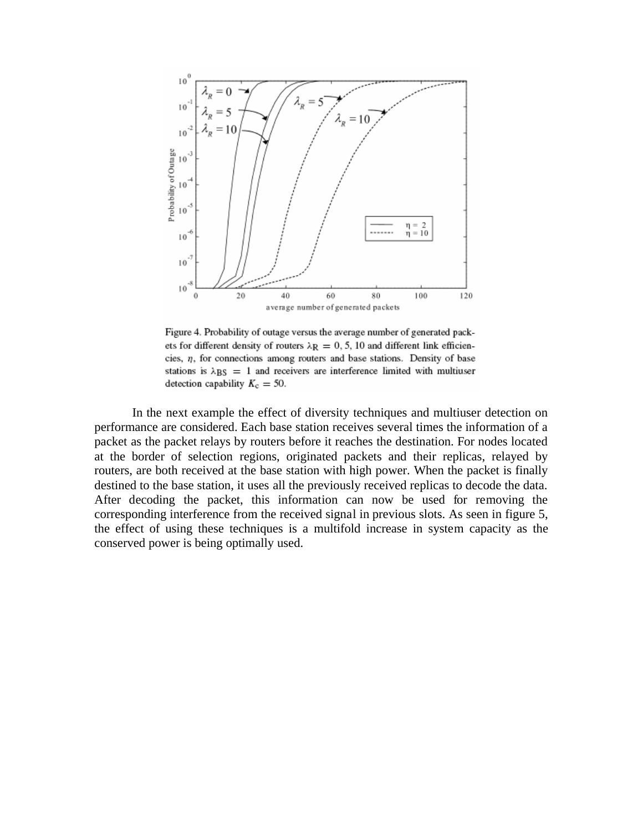

Figure 4. Probability of outage versus the average number of generated packets for different density of routers  $\lambda$ R = 0, 5, 10 and different link efficiencies,  $\eta$ , for connections among routers and base stations. Density of base stations is  $\lambda$ BS = 1 and receivers are interference limited with multiuser detection capability  $K_c = 50$ .

In the next example the effect of diversity techniques and multiuser detection on performance are considered. Each base station receives several times the information of a packet as the packet relays by routers before it reaches the destination. For nodes located at the border of selection regions, originated packets and their replicas, relayed by routers, are both received at the base station with high power. When the packet is finally destined to the base station, it uses all the previously received replicas to decode the data. After decoding the packet, this information can now be used for removing the corresponding interference from the received signal in previous slots. As seen in figure 5, the effect of using these techniques is a multifold increase in system capacity as the conserved power is being optimally used.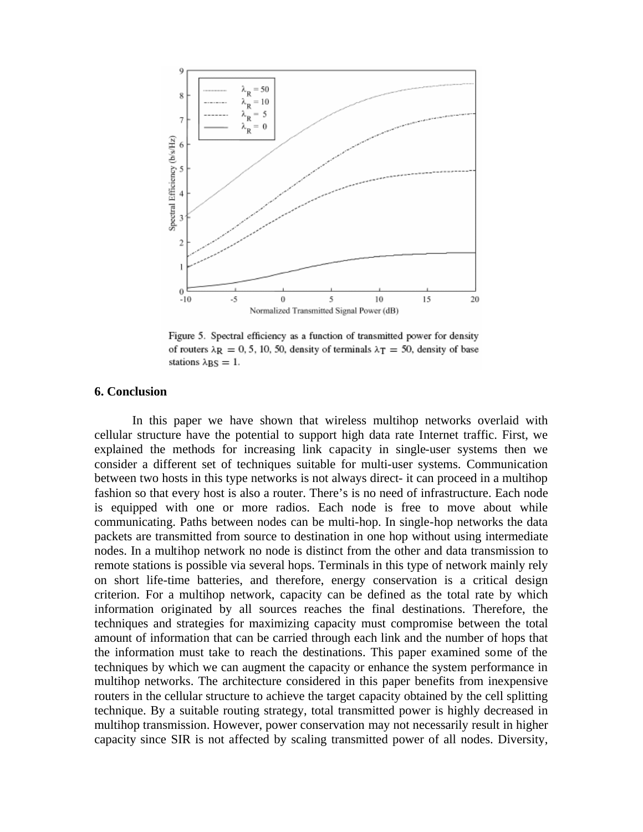

Figure 5. Spectral efficiency as a function of transmitted power for density of routers  $\lambda$ R = 0, 5, 10, 50, density of terminals  $\lambda$ T = 50, density of base stations  $\lambda$ <sub>BS</sub> = 1.

#### **6. Conclusion**

In this paper we have shown that wireless multihop networks overlaid with cellular structure have the potential to support high data rate Internet traffic. First, we explained the methods for increasing link capacity in single-user systems then we consider a different set of techniques suitable for multi-user systems. Communication between two hosts in this type networks is not always direct- it can proceed in a multihop fashion so that every host is also a router. There's is no need of infrastructure. Each node is equipped with one or more radios. Each node is free to move about while communicating. Paths between nodes can be multi-hop. In single-hop networks the data packets are transmitted from source to destination in one hop without using intermediate nodes. In a multihop network no node is distinct from the other and data transmission to remote stations is possible via several hops. Terminals in this type of network mainly rely on short life-time batteries, and therefore, energy conservation is a critical design criterion. For a multihop network, capacity can be defined as the total rate by which information originated by all sources reaches the final destinations. Therefore, the techniques and strategies for maximizing capacity must compromise between the total amount of information that can be carried through each link and the number of hops that the information must take to reach the destinations. This paper examined some of the techniques by which we can augment the capacity or enhance the system performance in multihop networks. The architecture considered in this paper benefits from inexpensive routers in the cellular structure to achieve the target capacity obtained by the cell splitting technique. By a suitable routing strategy, total transmitted power is highly decreased in multihop transmission. However, power conservation may not necessarily result in higher capacity since SIR is not affected by scaling transmitted power of all nodes. Diversity,